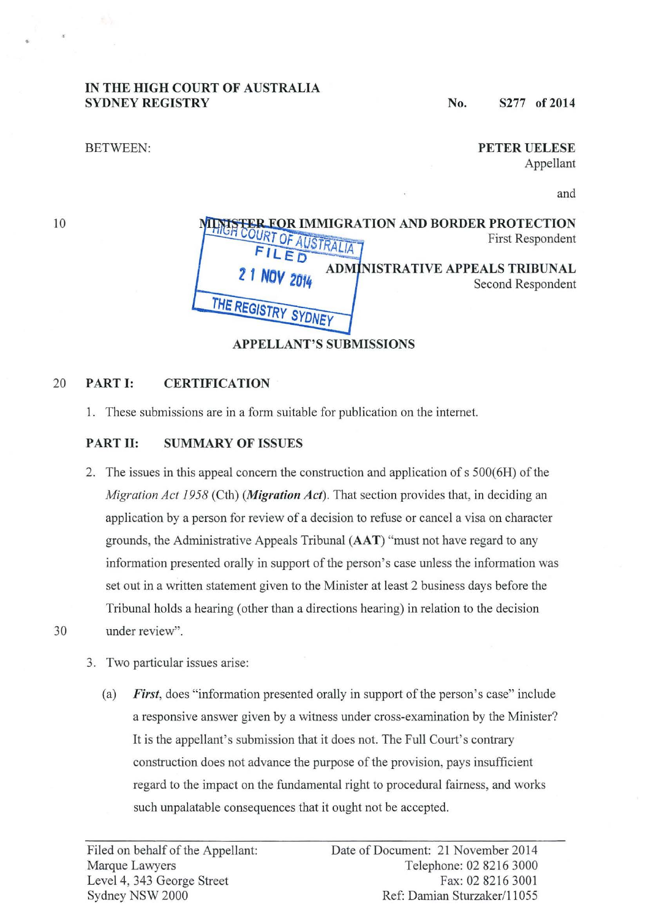## IN THE HIGH COURT OF AUSTRALIA SYDNEY REGISTRY

No. 8277 of 2014

### BETWEEN:

PETER UELESE Appellant

and

10

| <b>HIGH COURT OF AUSTR</b>     | <b>ER FOR IMMIGRATION AND BORDER PROTECTION</b><br>First Respondent |
|--------------------------------|---------------------------------------------------------------------|
| 2 1 NOV 2014                   | INISTRATIVE APPEALS TRIBUNAL<br>Second Respondent                   |
| THE REGISTRY SYDNEY            |                                                                     |
| <b>APPELLANT'S SUBMISSIONS</b> |                                                                     |

## 20 PART I: CERTIFICATION

1. These submissions are in a form suitable for publication on the internet.

## PART II: SUMMARY OF ISSUES

- 2. The issues in this appeal concern the construction and application of s 500(6H) of the *Migration Act 1958* (Cth) *(Migration Act).* That section provides that, in deciding an application by a person for review of a decision to refuse or cancel a visa on character grounds, the Administrative Appeals Tribunal (AAT) "must not have regard to any information presented orally in support of the person's case unless the information was set out in a written statement given to the Minister at least 2 business days before the Tribunal holds a hearing (other than a directions hearing) in relation to the decision 30 under review".
	- 3. Two particular issues arise:
		- (a) *First,* does "information presented orally in support of the person's case" include a responsive answer given by a witness under cross-examination by the Minister? It is the appellant's submission that it does not. The Full Court's contrary construction does not advance the purpose of the provision, pays insufficient regard to the impact on the fundamental right to procedural fairness, and works such unpalatable consequences that it ought not be accepted.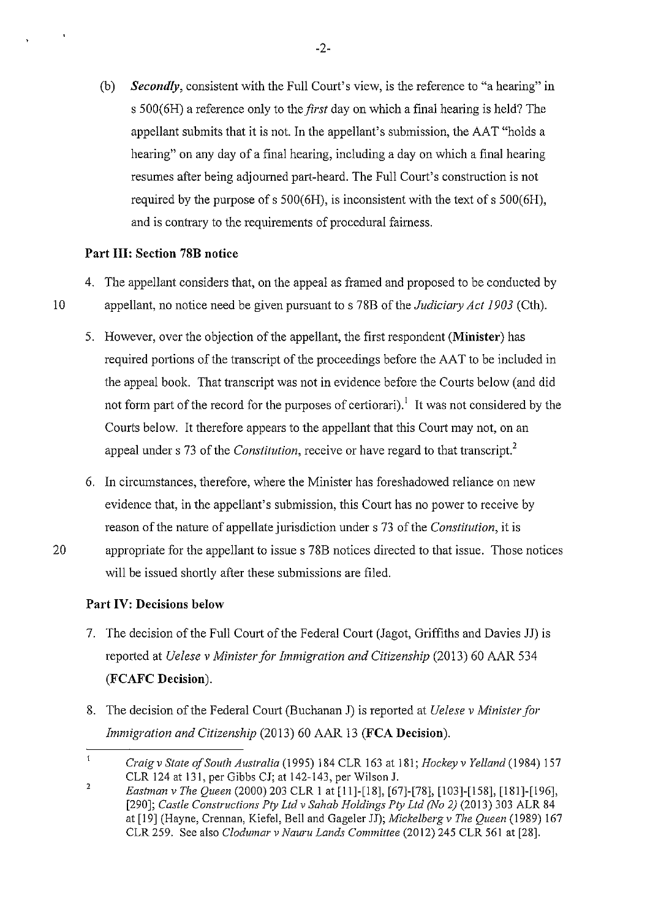(b) *Secondly,* consistent with the Full Court's view, is the reference to "a hearing" in s 500(6H) a reference only to the *first* day on which a final hearing is held? The appellant submits that it is not. In the appellant's submission, the AAT "holds a hearing" on any day of a final hearing, including a day on which a final hearing resumes after being adjourned part-heard. The Full Court's construction is not required by the purpose of s 500(6H), is inconsistent with the text of s 500(6H), and is contrary to the requirements of procedural fairness.

## **Part III: Section 78B notice**

- 4. The appellant considers that, on the appeal as framed and proposed to be conducted by 10 appellant, no notice need be given pursuant to s 78B of the *Judiciary Act 1903* (Cth).
	- 5. However, over the objection of the appellant, the first respondent **(Minister)** has required portions of the transcript of the proceedings before the AAT to be included in the appeal book. That transcript was not in evidence before the Courts below (and did not form part of the record for the purposes of certiorari).<sup>1</sup> It was not considered by the Courts below. It therefore appears to the appellant that this Court may not, on an appeal under s 73 of the *Constitution,* receive or have regard to that transcript?
	- 6. In circumstances, therefore, where the Minister has foreshadowed reliance on new evidence that, in the appellant's submission, this Court has no power to receive by reason of the nature of appellate jurisdiction under s 73 of the *Constitution,* it is
- 20 appropriate for the appellant to issue s 78B notices directed to that issue. Those notices will be issued shortly after these submissions are filed.

## **Part IV: Decisions below**

- 7. The decision of the Full Court of the Federal Court (Jagot, Griffiths and Davies JJ) is reported at *Uelese v Minister for Immigration and Citizenship* (2013) 60 AAR 534 **(FCAFC Decision).**
- 8. The decision of the Federal Court (Buchanan J) is reported at *Uelese v Minister for Immigration and Citizenship* (2013) 60 AAR 13 **(FCA Decision).**

 $\mathbf{1}$ *Craig v State of South Australia* (1995) 184 CLR 163 at 181; *Hockey v Yelland* (1984) !57 CLR 124 at 131, per Gibbs CJ; at 142-143, per Wilson J.

 $\overline{2}$ *Eastman v The Queen* (2000) 203 CLR I at [11]-[18], [67]-[78], [103]-[158], [181]-[196], [290]; *Castle Constructions Pty Ltd v Sahab Holdings Pty Ltd (No 2)* (2013) 303 ALR 84 at [19] (Hayne, Crennan, Kiefel, Bell and Gageler JJ); *Mickelbergv The Queen* (1989) 167 CLR 259. See also *Clodumar v Nauru Lands Committee* (2012) 245 CLR 561 at [28].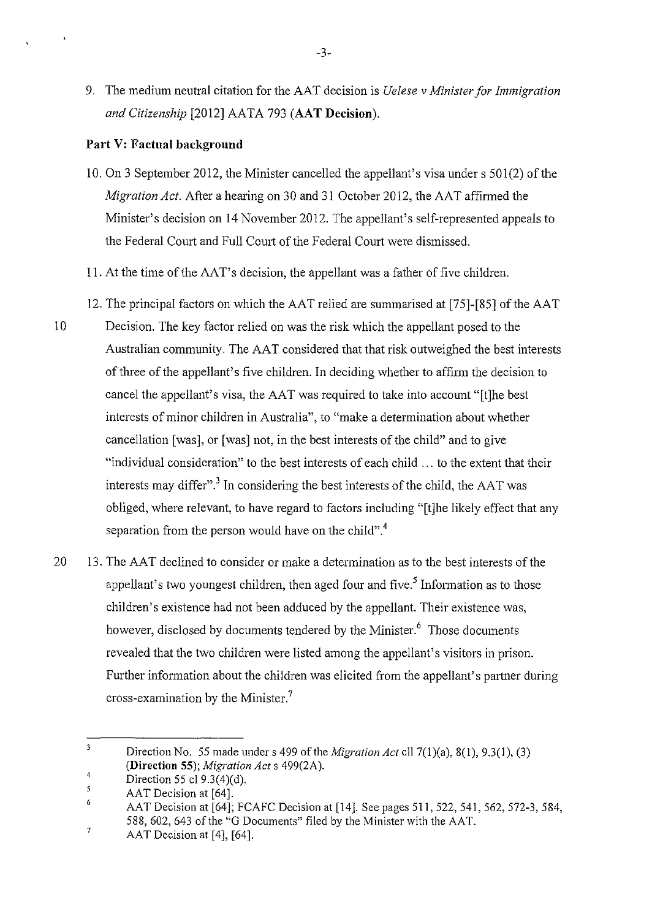9. The medium neutral citation for the AAT decision is *Uelese* v *Minister for Immigration and Citizenship* [2012] AATA 793 **(AAT Decision).** 

## **Part V: Factual background**

 $\ddot{\phantom{1}}$ 

- 10. On 3 September 2012, the Minister cancelled the appellant's visa under s 501(2) of the *Migration Act.* After a hearing on 30 and 31 October 2012, the AAT affirmed the Minister's decision on 14 November 2012. The appellant's self-represented appeals to the Federal Court and Full Court of the Federal Court were dismissed.
- 11. At the time of the AAT's decision, the appellant was a father of five children.
- 12. The principal factors on which the AAT relied are summarised at [75]-[85] of the AAT
- 10 Decision. The key factor relied on was the risk which the appellant posed to the Australian community. The AAT considered that that risk outweighed the best interests of three of the appellant's five children. In deciding whether to affirm the decision to cancel the appellant's visa, the AAT was required to take into account "[t]he best interests of minor children in Australia", to "make a determination about whether cancellation [was], or [was] not, in the best interests of the child" and to give "individual consideration" to the best interests of each child ... to the extent that their interests may differ".<sup>3</sup> In considering the best interests of the child, the AAT was obliged, where relevant, to have regard to factors including "[t]he likely effect that any separation from the person would have on the child".<sup>4</sup>
- 20 13. The AAT declined to consider or make a determination as to the best interests of the appellant's two youngest children, then aged four and five.<sup>5</sup> Information as to those children's existence had not been adduced by the appellant. Their existence was, however, disclosed by documents tendered by the Minister.<sup>6</sup> Those documents revealed that the two children were listed among the appellant's visitors in prison. Further information about the children was elicited from the appellant's partner during cross-examination by the Minister. 7

<sup>3</sup>  Direction No. 55 made under s 499 of the *Migration Act* ell 7(1 )(a), 8(1 ), 9.3(1 ), (3) **(Direction 55);** *Migration Acts* 499(2A).

<sup>4</sup>  Direction 55 cl 9.3(4)(d).

<sup>5</sup> AAT Decision at [64].

<sup>6</sup>  AAT Decision at [64]; FCAFC Decision at [14]. See pages 511, 522, 541, 562, 572-3, 584, 588, 602, 643 of the "G Documents" filed by the Minister with the AAT.

<sup>7</sup>  AAT Decision at [4], [64].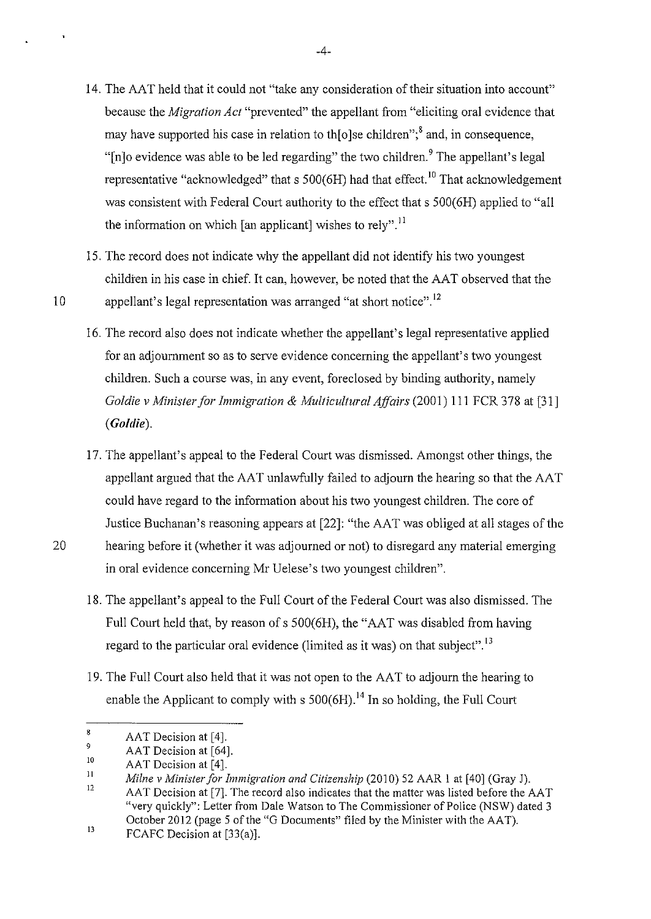- 14. The AAT held that it could not "take any consideration of their situation into account" because the *Migration Act* "prevented" the appellant from "eliciting oral evidence that may have supported his case in relation to the older children<sup> $\cdot$ ;8</sup> and, in consequence, "In a evidence was able to be led regarding" the two children. The appellant's legal representative "acknowledged" that s  $500(6H)$  had that effect.<sup>10</sup> That acknowledgement was consistent with Federal Court authority to the effect that s 500(6H) applied to "all the information on which [an applicant] wishes to rely".<sup>11</sup>
- 15. The record does not indicate why the appellant did not identify his two youngest children in his case in chief. It can, however, be noted that the AAT observed that the 10 appellant's legal representation was arranged "at short notice".<sup>12</sup>
	- 16. The record also does not indicate whether the appellant's legal representative applied for an adjournment so as to serve evidence concerning the appellant's two youngest children. Such a course was, in any event, foreclosed by binding authority, namely *Goldie v Minister for Immigration* & *Multicultural Affairs* (2001) Ill FCR 378 at [31] *(Goldie).*
- 17. The appellant's appeal to the Federal Court was dismissed. Amongst other things, the appellant argued that the AAT unlawfully failed to adjourn the hearing so that the AAT could have regard to the information about his two youngest children. The core of Justice Buchanan's reasoning appears at [22]: "the AA Twas obliged at all stages of the 20 hearing before it (whether it was adjourned or not) to disregard any material emerging
	- 18. The appellant's appeal to the Full Court of the Federal Court was also dismissed. The Full Court held that, by reason of s 500(6H), the "AAT was disabled from having regard to the particular oral evidence (limited as it was) on that subject".<sup>13</sup>

in oral evidence concerning Mr Uelese's two youngest children".

19. The Full Court also held that it was not open to the AAT to adjourn the hearing to enable the Applicant to comply with s  $500(6H)$ .<sup>14</sup> In so holding, the Full Court

-4-

<sup>8</sup>  AAT Decision at [4].

<sup>9</sup>  AAT Decision at [64].

<sup>10</sup>  AAT Decision at [4].

II 12 *Milne v Minister for Immigration and Citizenship* (2010) 52 AAR 1 at [40] (Gray J). AAT Decision at [7]. The record also indicates that the matter was listed before the AAT "very quickly": Letter from Dale Watson to The Commissioner of Police (NSW) dated 3

October 2012 (page 5 of the "G Documents" filed by the Minister with the AAT).

<sup>13</sup>  FCAFC Decision at [33(a)].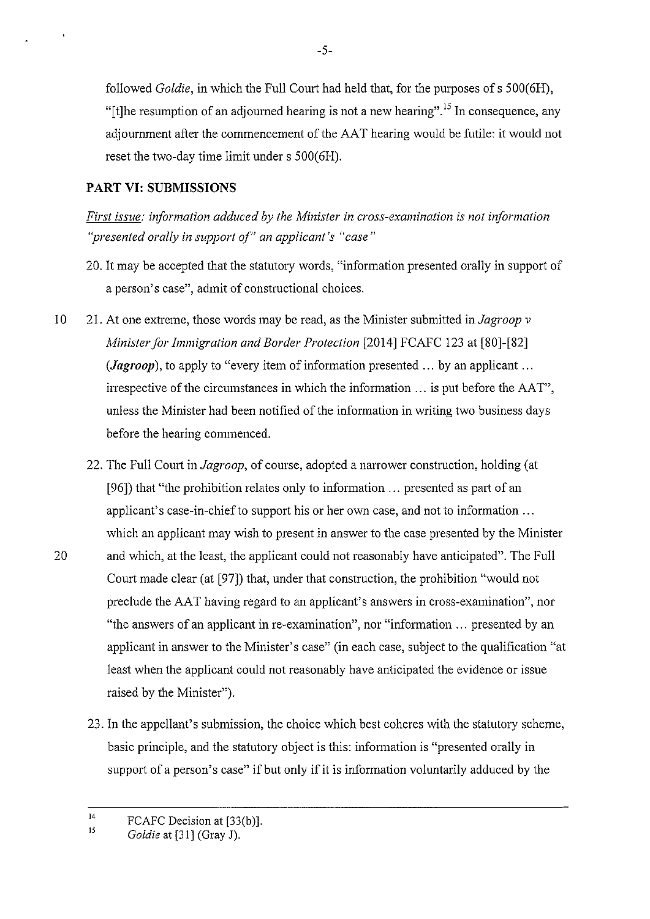followed *Goldie,* in which the Full Court had held that, for the purposes of s 500(6H), "[t]he resumption of an adjourned hearing is not a new hearing".<sup>15</sup> In consequence, any adjournment after the commencement of the AAT hearing would be futile: it would not reset the two-day time limit under s 500(6H).

## **PART VI: SUBMISSIONS**

*First issue: information adduced by the Minister in cross-examination is not information "presented orally in support of" an applicant's "case"* 

- 20. It may be accepted that the statutory words, "information presented orally in support of a person's case", admit of constructional choices.
- 10 21. At one extreme, those words may be read, as the Minister submitted *inJagroop v Minister for Immigration and Border Protection* [2014] FCAFC 123 at [80]-[82] *(Jagroop)*, to apply to "every item of information presented ... by an applicant ... irrespective of the circumstances in which the information  $\ldots$  is put before the AAT", unless the Minister had been notified of the information in writing two business days before the hearing commenced.
- 22. The Full Court in *Jagroop,* of course, adopted a narrower construction, holding (at [96]) that "the prohibition relates only to information ... presented as part of an applicant's case-in-chief to support his or her own case, and not to information ... which an applicant may wish to present in answer to the case presented by the Minister 20 and which, at the least, the applicant could not reasonably have anticipated". The Full Comt made clear (at [97]) that, under that construction, the prohibition "would not preclude the AA T having regard to an applicant's answers in cross-examination", nor "the answers of an applicant in re-examination", nor "information ... presented by an applicant in answer to the Minister's case" (in each case, subject to the qualification "at least when the applicant could not reasonably have anticipated the evidence or issue raised by the Minister").
	- 23. In the appellant's submission, the choice which best coheres with the statutory scheme, basic principle, and the statutory object is this: information is "presented orally in support of a person's case" if but only if it is information voluntarily adduced by the

<sup>14</sup>  15 FCAFC Decision at [33(b)].

*Goldie* at [31] (Gray J).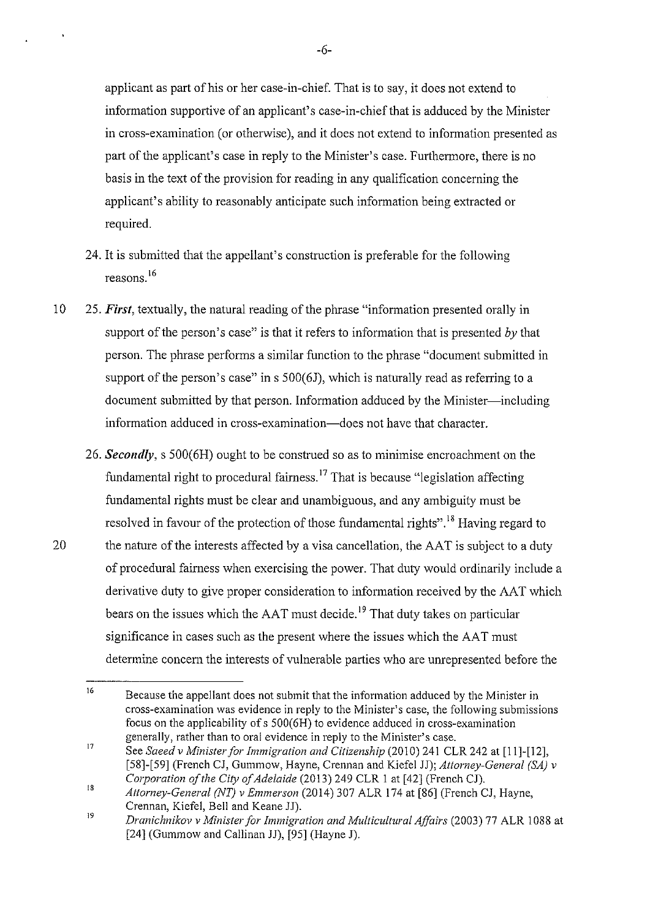applicant as part of his or her case-in-chief. That is to say, it does not extend to information supportive of an applicant's case-in-chief that is adduced by the Minister in cross-examination (or otherwise), and it does not extend to information presented as part of the applicant's case in reply to the Minister's case. Furthermore, there is no basis in the text of the provision for reading in any qualification concerning the applicant's ability to reasonably anticipate such information being extracted or required.

- 24. It is submitted that the appellant's construction is preferable for the following reasons. 16
- 10 25. *First,* textually, the natural reading of the phrase "information presented orally in support of the person's case" is that it refers to information that is presented *by* that person. The phrase performs a similar function to the phrase "document submitted in support of the person's case" in  $s$  500(6J), which is naturally read as referring to a document submitted by that person. Information adduced by the Minister—including information adduced in cross-examination-does not have that character.
- 26. *Secondly,* s 500(6H) ought to be construed so as to minimise encroachment on the fundamental right to procedural fairness.<sup>17</sup> That is because "legislation affecting fundamental rights must be clear and unambiguous, and any ambiguity must be resolved in favour of the protection of those fundamental rights".<sup>18</sup> Having regard to 20 the nature of the interests affected by a visa cancellation, the AAT is subject to a duty of procedural fairness when exercising the power. That duty would ordinarily include a derivative duty to give proper consideration to information received by the AAT which bears on the issues which the  $AAT$  must decide.<sup>19</sup> That duty takes on particular significance in cases such as the present where the issues which the AAT must determine concern the interests of vulnerable parties who are umepresented before the

<sup>16</sup>  Because the appellant does not submit that the information adduced by the Minister in cross-examination was evidence in reply to the Minister's case, the following submissions focus on the applicability of s 500(6H) to evidence adduced in cross-examination generally, rather than to oral evidence in reply to the Minister's case.

<sup>17</sup>  See *Saeed v Minister for Immigration and Citizenship* (2010) 241 CLR 242 at [11]-[12], [58]-[ 59] (French CJ, Gummow, Hayne, Crennan and Kiefel JJ); *Attorney-General (SA) v Corporation of the City of Adelaide* (2013) 249 CLR I at [42] (French CJ).

<sup>18</sup>  *Attorney-General* (NT) *v Emmerson* (2014) 307 ALR 174 at [86] (French CJ, Hayne, Crennan, Kiefel, Bell and Keane JJ).

<sup>19</sup>  *Dranichnikov v Minister for Immigration and Multicultural Affairs* (2003) 77 ALR I 088 at [24] (Gummow and Callinan JJ), [95] (Hayne **J).**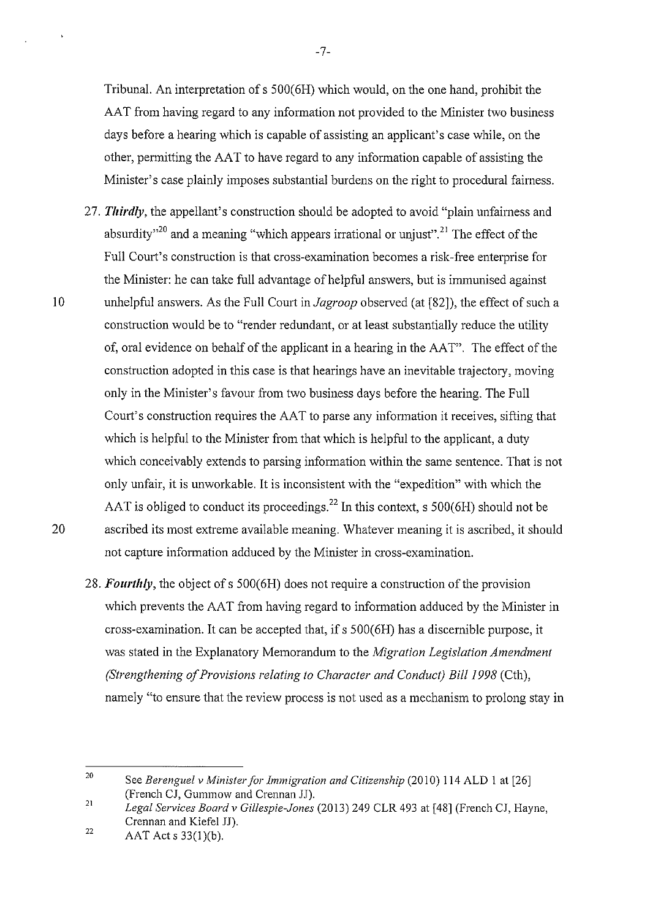Tribunal. An interpretation of s 500(6H) which would, on the one hand, prohibit the AAT from having regard to any information not provided to the Minister two business days before a hearing which is capable of assisting an applicant's case while, on the other, permitting the AA T to have regard to any information capable of assisting the Minister's case plainly imposes substantial burdens on the right to procedural fairness.

- 27. *Thirdly,* the appellant's construction should be adopted to avoid "plain unfairness and absurdity<sup> $20$ </sup> and a meaning "which appears irrational or unjust".<sup>21</sup> The effect of the Full Court's construction is that cross-examination becomes a risk-free enterprise for the Minister: he can take full advantage of helpful answers, but is innnunised against 10 unhelpful answers. As the Full Court in *Jagroop* observed (at [82]), the effect of such a construction would be to "render redundant, or at least substantially reduce the utility of, oral evidence on behalf of the applicant in a hearing in the AAT". The effect of the construction adopted in this case is that hearings have an inevitable trajectory, moving only in the Minister's favour from two business days before the hearing. The Full Court's construction requires the AAT to parse any information it receives, sifting that which is helpful to the Minister from that which is helpful to the applicant, a duty which conceivably extends to parsing information within the same sentence. That is not only unfair, it is unworkable. It is inconsistent with the "expedition" with which the AAT is obliged to conduct its proceedings.<sup>22</sup> In this context, s  $500(6H)$  should not be 20 ascribed its most extreme available meaning. Whatever meaning it is ascribed, it should not capture information adduced by the Minister in cross-examination.
	- 28. *Fourthly,* the object of s 500(6H) does not require a construction of the provision which prevents the AAT from having regard to information adduced by the Minister in cross-examination. It can be accepted that, if s 500(6H) has a discernible purpose, it was stated in the Explanatory Memorandum to the *Migration Legislation Amendment (Strengthening of Provisions relating to Character and Conduct) Bill 1998 (Cth)*, namely "to ensure that the review process is not used as a mechanism to prolong stay in

<sup>20</sup>  21 See *Berenguel v Minister for Immigration and Citizenship* (2010) 114 ALD 1 at [26] (French CJ, Gummow and Crennan JJ).

*Legal Services Board v Gillespie-Jones* (2013) 249 CLR 493 at [48] (French CJ, Hayne, Crennan and Kiefel JJ).

<sup>22</sup>  AAT Acts 33(l)(b).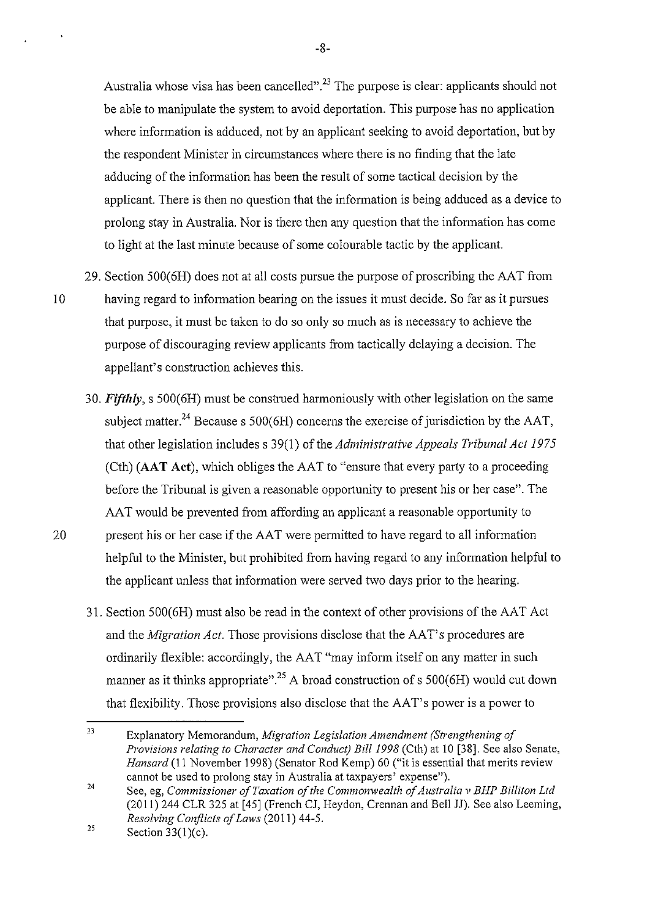Australia whose visa has been cancelled".<sup>23</sup> The purpose is clear: applicants should not be able to manipulate the system to avoid deportation. This purpose has no application where information is adduced, not by an applicant seeking to avoid deportation, but by the respondent Minister in circumstances where there is no finding that the late adducing of the information has been the result of some tactical decision by the applicant. There is then no question that the information is being adduced as a device to prolong stay in Australia. Nor is there then any question that the information has come to light at the last minute because of some colourable tactic by the applicant.

- 29. Section 500(6H) does not at all costs pursue the purpose of proscribing the AAT from 10 having regard to information bearing on the issues it must decide. So far as it pursues that purpose, it must be taken to do so only so much as is necessary to achieve the purpose of discouraging review applicants from tactically delaying a decision. The appellant's construction achieves this.
	- 30. *Fifthly,* s 500(6H) must be construed harmoniously with other legislation on the same subject matter.<sup>24</sup> Because s 500(6H) concerns the exercise of jurisdiction by the AAT, that other legislation includes s 39(1) of the *Administrative Appeals Tribunal Act 1975*  (Cth) **(AAT Act),** which obliges the AAT to "ensure that every party to a proceeding before the Tribunal is given a reasonable opportunity to present his or her case". The AAT would be prevented from affording an applicant a reasonable opportunity to
- 20 present his or her case if the AAT were permitted to have regard to all information helpful to the Minister, but prohibited from having regard to any information helpful to the applicant unless that information were served two days prior to the hearing.
	- 31. Section 500(6H) must also be read in the context of other provisions of the AAT Act and the *Migration Act.* Those provisions disclose that the AAT's procedures are ordinarily flexible: accordingly, the AAT "may inform itself on any matter in such manner as it thinks appropriate".<sup>25</sup> A broad construction of s  $500(6H)$  would cut down that flexibility. Those provisions also disclose that the AAT's power is a power to

<sup>23</sup>  Explanatory Memorandum, *Migration Legislation Amendment (Strengthening of Provisions relating to Character and Conduct) Bill1998* (Cth) at 10 [38]. See also Senate, *Hansard* (II November 1998) (Senator Rod Kemp) 60 ("it is essential that merits review cannot be used to prolong stay in Australia at taxpayers' expense").

<sup>24</sup>  See, eg, *Commissioner of Taxation of the Commonwealth of Australia v BHP Billiton Ltd*  (2011) 244 CLR 325 at [45] (French CJ, Heydon, Crennan and Bell JJ). See also Leeming, *Resolving Conflicts of Laws* (2011) 44-5.

<sup>25</sup>  Section 33(1)(c).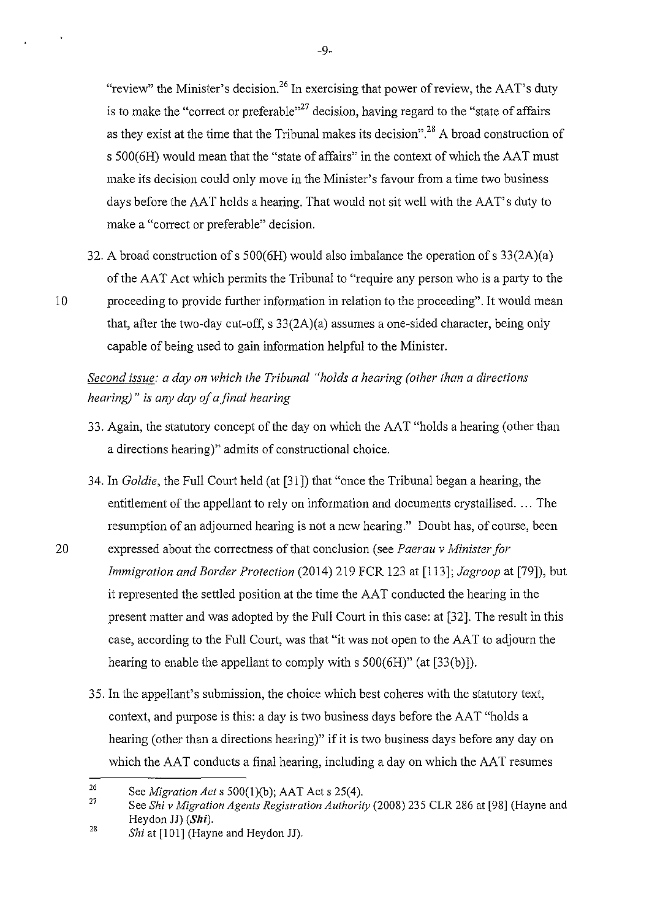"review" the Minister's decision.<sup>26</sup> In exercising that power of review, the  $AAT$ 's duty is to make the "correct or preferable"<sup>27</sup> decision, having regard to the "state of affairs" as they exist at the time that the Tribunal makes its decision". 28 A broad construction of s 500(6H) would mean that the "state of affairs" in the context of which the AAT must make its decision could only move in the Minister's favour from a time two business days before the AAT holds a hearing. That would not sit well with the AAT's duty to make a "correct or preferable" decision.

32. A broad construction of s 500(6H) would also imbalance the operation of s 33(2A)(a) of the AAT Act which permits the Tribunal to "require any person who is a party to the 10 proceeding to provide further information in relation to the proceeding". It would mean that, after the two-day cut-off, s 33(2A)(a) assumes a one-sided character, being only capable of being used to gain information helpful to the Minister.

# *Second issue: a day on which the Tribunal "holds a hearing (other than a directions hearing)"* is *any day of a final hearing*

- 33. Again, the statutory concept of the day on which the AAT "holds a hearing (other than a directions hearing)" admits of constructional choice.
- 34. In *Goldie*, the Full Court held (at [31]) that "once the Tribunal began a hearing, the entitlement of the appellant to rely on information and documents crystallised. ... The resumption of an adjourned hearing is not a new hearing." Doubt has, of course, been
- 20 expressed about the correctness of that conclusion (see *Paerau v Ministerfor Immigration and Border Protection* (2014) 219 FCR 123 at [113]; *Jagroop* at [79]), but it represented the settled position at the time the AAT conducted the hearing in the present matter and was adopted by the Full Court in this case: at [32]. The result in this case, according to the Full Court, was that "it was not open to the AAT to adjourn the hearing to enable the appellant to comply with s 500(6H)" (at [33(b)]).
	- 35. In the appellant's submission, the choice which best coheres with the statutory text, context, and purpose is this: a day is two business days before the AAT "holds a hearing (other than a directions hearing)" if it is two business days before any day on which the AAT conducts a final hearing, including a day on which the AAT resumes

 $\mathbf{r}$ 

<sup>26</sup>  See *Migration Acts* 500(1)(b); AAT Acts 25(4).

<sup>27</sup>  See *Shiv Migration Agents Registration Authority* (2008) 235 CLR 286 at [98] (Hayne and Heydon JJ) (Shi).

<sup>28</sup>  *Shi* at [101] (Hayne and Heydon JJ).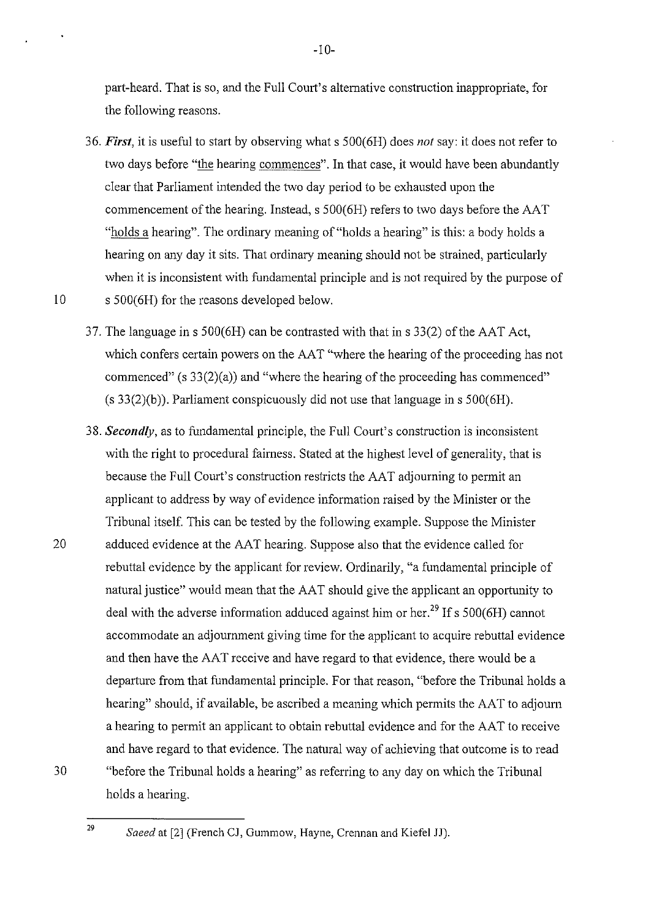part-heard. That is so, and the Full Court's alternative construction inappropriate, for the following reasons.

- 36. *First,* it is useful to start by observing what s 500(6H) does *not* say: it does not refer to two days before "the hearing commences". In that case, it would have been abundantly clear that Parliament intended the two day period to be exhausted upon the commencement of the hearing. Instead, s 500(6H) refers to two days before the AAT "holds a hearing". The ordinary meaning of "holds a hearing" is this: a body holds a hearing on any day it sits. That ordinary meaning should not be strained, particularly when it is inconsistent with fundamental principle and is not required by the purpose of 10 s 500(6H) for the reasons developed below.
	- 37. The language in s  $500(6H)$  can be contrasted with that in s  $33(2)$  of the AAT Act, which confers certain powers on the AAT "where the hearing of the proceeding has not commenced" (s 33(2)(a)) and "where the hearing of the proceeding has commenced"  $(s 33(2)(b))$ . Parliament conspicuously did not use that language in s 500(6H).
- 38. *Secondly,* as to fundamental principle, the Full Court's construction is inconsistent with the right to procedural fairness. Stated at the highest level of generality, that is because the Full Court's construction restricts the AAT adjourning to permit an applicant to address by way of evidence information raised by the Minister or the Tribunal itself. This can be tested by the following example. Suppose the Minister 20 adduced evidence at the AAT hearing. Suppose also that the evidence called for rebuttal evidence by the applicant for review. Ordinarily, "a fundamental principle of natural justice" would mean that the AAT should give the applicant an opportunity to deal with the adverse information adduced against him or her.<sup>29</sup> If s 500(6H) cannot accommodate an adjournment giving time for the applicant to acquire rebuttal evidence and then have the AAT receive and have regard to that evidence, there would be a departure from that fundamental principle. For that reason, "before the Tribunal holds a hearing" should, if available, be ascribed a meaning which permits the AAT to adjourn a hearing to permit an applicant to obtain rebuttal evidence and for the AAT to receive and have regard to that evidence. The natural way of achieving that outcome is to read "before the Tribunal holds a hearing" as referring to any day on which the Tribunal holds a hearing.

30

*Saeed* at [2] (French CJ, Gummow, Hayne, Crennan and Kiefel JJ).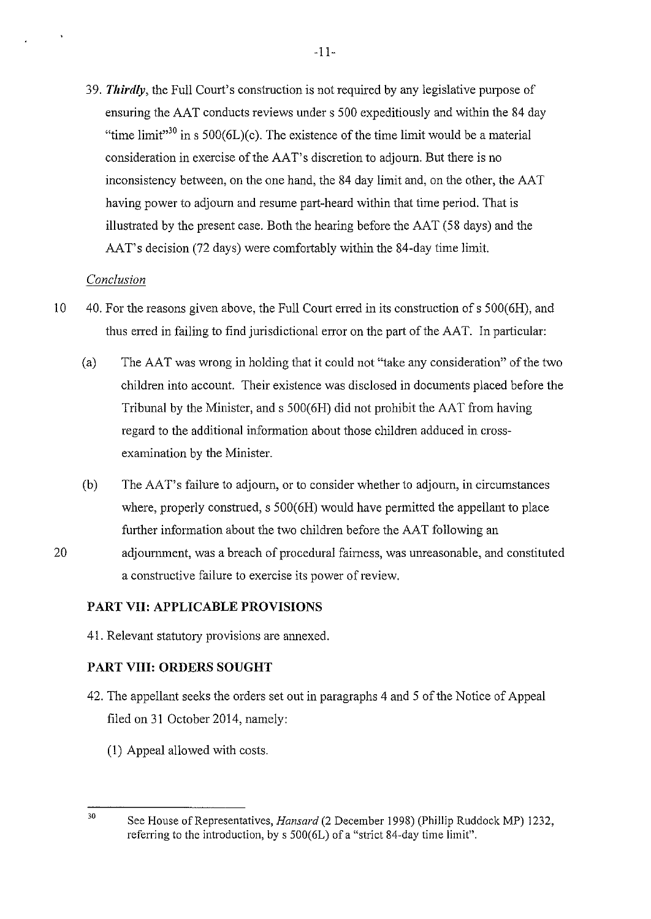39. *Thirdly,* the Full Court's construction is not required by any legislative purpose of ensuring the AAT conducts reviews under s 500 expeditiously and within the 84 day "time limit"<sup>30</sup> in s 500(6L)(c). The existence of the time limit would be a material consideration in exercise of the AAT's discretion to adjourn. But there is no inconsistency between, on the one hand, the 84 day limit and, on the other, the AAT having power to adjourn and resume part-heard within that time period. That is illustrated by the present case. Both the hearing before the AAT (58 days) and the AAT's decision (72 days) were comfortably within the 84-day time limit.

## *Conclusion*

- 10 40. For the reasons given above, the Full Court erred in its construction of s 500(6H), and thus erred in failing to find jurisdictional error on the part of the AAT. In particular:
	- (a) The AAT was wrong in holding that it could not "take any consideration" of the two children into account. Their existence was disclosed in documents placed before the Tribunal by the Minister, and s 500(6H) did not prohibit the AAT from having regard to the additional information about those children adduced in crossexamination by the Minister.
	- (b) The AA T's failure to adjourn, or to consider whether to adjourn, in circumstances where, properly construed, s 500(6H) would have permitted the appellant to place further information about the two children before the AAT following an
- 20 adjournment, was a breach of procedural fairness, was unreasonable, and constituted a constructive failure to exercise its power of review.

## **PART VII: APPLICABLE PROVISIONS**

41. Relevant statutory provisions are annexed.

## **PART VIII: ORDERS SOUGHT**

- 42. The appellant seeks the orders set out in paragraphs 4 and 5 of the Notice of Appeal filed on 31 October 2014, namely:
	- (1) Appeal allowed with costs.
- 30 See House of Representatives, *Hansard* (2 December 1998) (Phillip Ruddock MP) 1232, referring to the introduction, by s 500(6L) of a "strict 84-day time limit".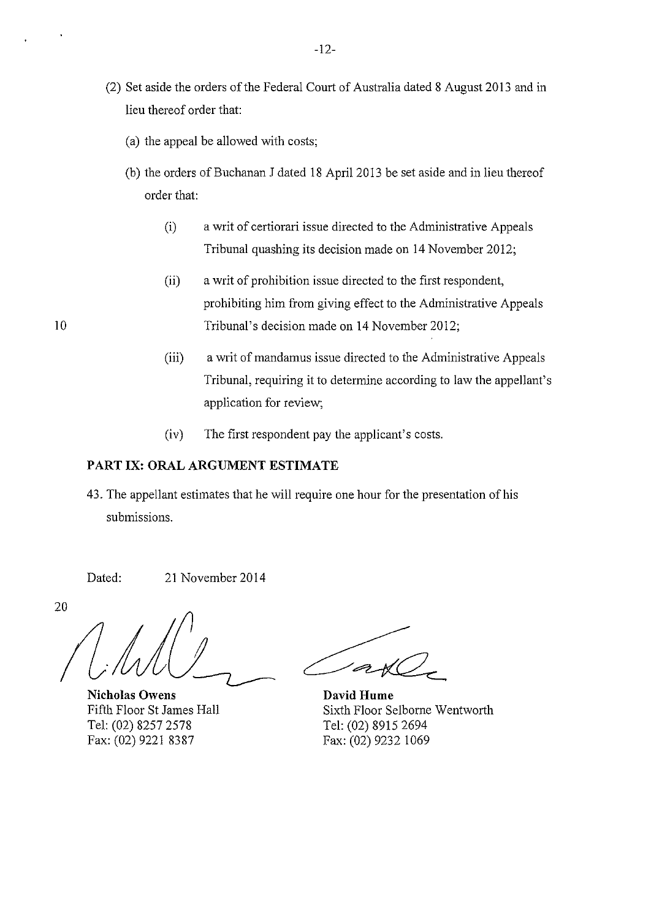- (2) Set aside the orders of the Federal Court of Australia dated 8 August 2013 and in lieu thereof order that:
	- (a) the appeal be allowed with costs;
	- (b) the orders of Buchanan J dated 18 April 2013 be set aside and in lieu thereof order that:
		- (i) a writ of certiorari issue directed to the Administrative Appeals Tribunal quashing its decision made on 14 November 2012;
- (ii) a writ of prohibition issue directed to the first respondent, prohibiting him from giving effect to the Administrative Appeals 10 Tribunal's decision made on 14 November 2012;
	- (iii) a writ of mandamus issue directed to the Administrative Appeals Tribunal, requiring it to determine according to law the appellant's application for review;
	- (iv) The first respondent pay the applicant's costs.

## **PART IX: ORAL ARGUMENT ESTIMATE**

43. The appellant estimates that he will require one hour for the presentation of his submissions.

Dated: 21 November 2014

20

**Nicholas Owens**  Fifth Floor StJames Hall Tel: (02) 8257 2578 Fax: (02) 9221 8387

**David Hume** Sixth Floor Selborne Wentworth Tel: (02) 8915 2694 Fax: (02) 9232 1069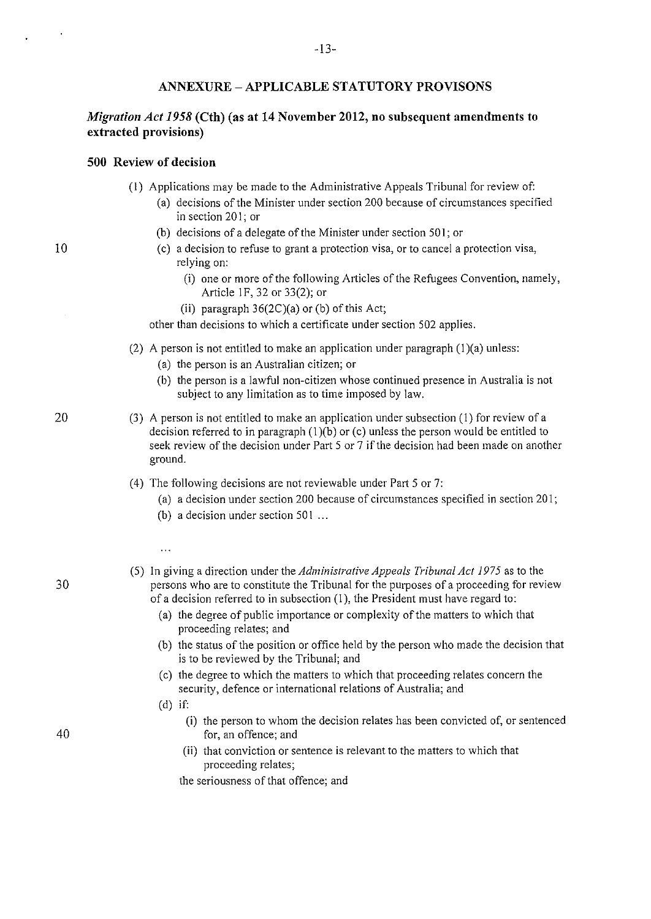#### **ANNEXURE- APPLICABLE STATUTORY PROVISONS**

## *Migration Act 1958* **(Cth) (as at 14 November 2012, no subsequent amendments to extracted provisions)**

#### **500 Review of decision**

- (I) Applications may be made to the Administrative Appeals Tribunal for review of:
	- (a) decisions of the Minister under section 200 because of circumstances specified in section 20 I; or
	- (b) decisions of a delegate of the Minister under section 501; or
	- (c) a decision to refuse to grant a protection visa, or to cancel a protection visa, relying on:
		- (i) one or more of the following Articles of the Refugees Convention, namely, Article IF, 32 or 33(2); or
		- (ii) paragraph  $36(2C)(a)$  or (b) of this Act;

other than decisions to which a certificate under section 502 applies.

- (2) A person is not entitled to make an application under paragraph  $(1)(a)$  unless:
	- (a) the person is an Australian citizen; or
	- (b) the person is a lawful non-citizen whose continued presence in Australia is not subject to any limitation as to time imposed by law.
- (3) A person is not entitled to make an application under subsection (I) for review of a decision referred to in paragraph  $(1)(b)$  or (c) unless the person would be entitled to seek review of the decision under Part 5 or 7 if the decision had been made on another ground.
- (4) The following decisions are not reviewable under Part 5 or 7:
	- (a) a decision under section 200 because of circumstances specified in section 201;
	- (b) a decision under section  $501...$
	- $\ddotsc$
- (5) In giving a direction underthe *Administrative Appeals Tribunal Act 1975* as to the persons who are to constitute the Tribunal for the purposes of a proceeding for review of a decision referred to in subsection (I), the President must have regard to:
	- (a) the degree of public importance or complexity of the matters to which that proceeding relates; and
	- (b) the status of the position or office held by the person who made the decision that is to be reviewed by the Tribunal; and
	- (c) the degree to which the matters to which that proceeding relates concern the security, defence or international relations of Australia; and
	- (d) if:
		- **(i)** the person to whom the decision relates has been convicted of, or sentenced for, an offence; and
		- (ii) that conviction or sentence is relevant to the matters to which that proceeding relates;

the seriousness of that offence; and

# 10

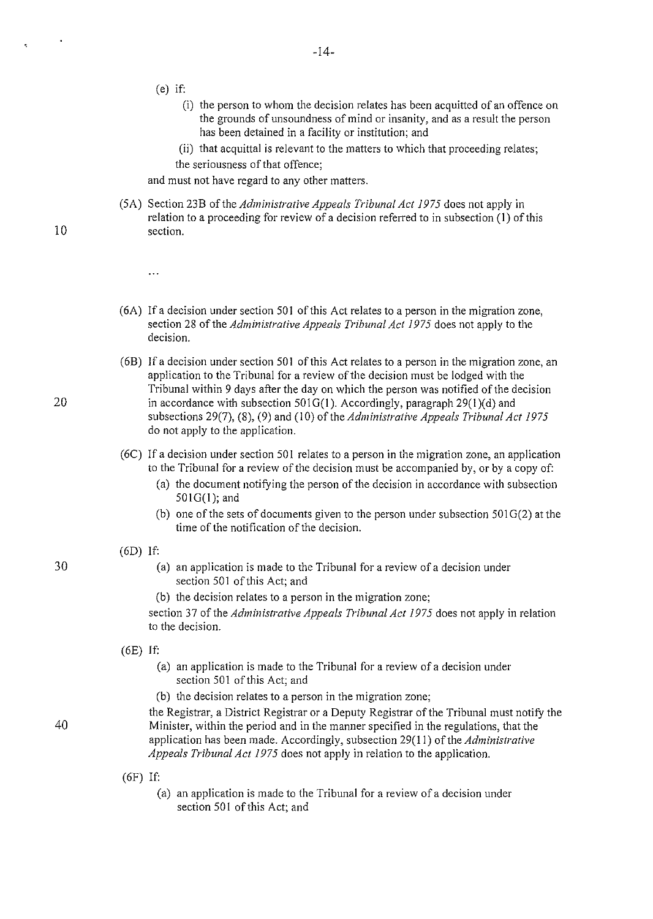(e) if:

 $\ddotsc$ 

- (i) the person to whom the decision relates has been acquitted of an offence on the grounds of unsoundness of mind or insanity, and as a result the person has been detained in a facility or institution; and
- (ii) that acquittal is relevant to the matters to which that proceeding relates; the seriousness of that offence;

and must not have regard to any other matters.

- (SA) Section 23B of the *Administrative Appeals Tribunal Act 1975* does not apply in relation to a proceeding for review of a decision referred to in subsection (I) of this section.
- (6A) If a decision under section 501 of this Act relates to a person in the migration zone, section 28 of the *Administrative Appeals Tribunal Act 1975* does not apply to the decision.
- (6B) !fa decision under section 501 of this Act relates to a person in the migration zone, an application to the Tribunal for a review of the decision must be lodged with the Tribunal within 9 days after the day on which the person was notified of the decision in accordance with subsection  $501G(1)$ . Accordingly, paragraph 29(1)(d) and subsections 29(7), (8), (9) and (10) of the *Administrative Appeals Tribunal Act 1975* do not apply to the application.
- (6C) If a decision under section 501 relates to a person in the migration zone, an application to the Tribunal for a review of the decision must be accompanied by, or by a copy of:
	- (a) the document notifYing the person of the decision in accordance with subsection  $501G(1)$ ; and
	- (b) one of the sets of documents given to the person under subsection  $501G(2)$  at the time of the notification of the decision.

#### (6D) If:

- (a) an application is made to the Tribunal for a review of a decision under section 501 of this Act; and
- (b) the decision relates to a person in the migration zone;

section 37 of the *Administrative Appeals Tribunal Act 1975* does not apply in relation to the decision.

(6E) If:

- (a) an application is made to the Tribunal for a review of a decision under section 501 of this Act; and
- (b) the decision relates to a person in the migration zone;

the Registrar, a District Registrar or a Deputy Registrar of the Tribunal must notify the Minister, within the period and in the manner specified in the regulations, that the application has been made. Accordingly, subsection 29(11) of the *Administrative Appeals Tribunal Act 1975* does not apply in relation to the application.

- (6F) If:
	- (a) an application is made to the Tribunal for a review of a decision under section 501 of this Act; and

20

10

 $\blacksquare$ 

ę.

30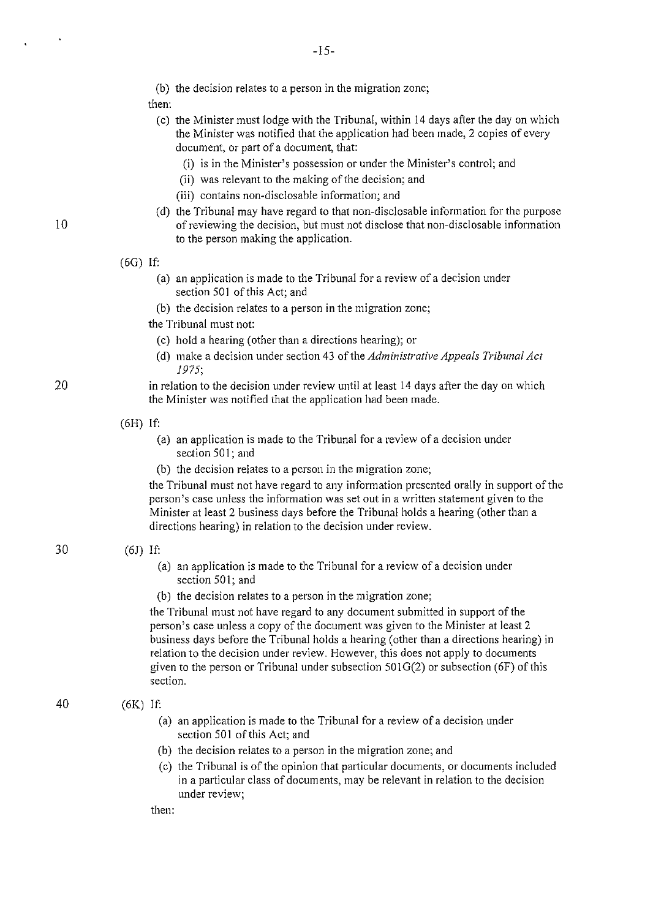(b) the decision relates to a person in the migration zone;

then:

- (c) the Minister must lodge with the Tribunal, within 14 days after the day on which the Minister was notified that the application had been made, 2 copies of every document, or part of a document, that:
	- (i) is in the Minister's possession or under the Minister's control; and
	- (ii) was relevant to the making of the decision; and
	- (iii) contains non-disclosable information; and
- (d) the Tribunal may have regard to that non-disclosable information for the purpose of reviewing the decision, but must not disclose that non-disclosable information to the person making the application.

(6G) If:

- (a) an application is made to the Tribunal for a review of a decision under section 501 of this Act; and
- (b) the decision relates to a person in the migration zone;
- the Tribunal must not:
	- (c) hold a hearing (other than a directions hearing); or
	- (d) make a decision under section 43 of the *Administrative Appeals Tribunal Act 1975;*
- in relation to the decision under review until at least 14 days after the day on which the Minister was notified that the application had been made.

(6H) If:

- (a) an application is made to the Tribunal for a review of a decision under section 501; and
- (b) the decision relates to a person in the migration zone;

the Tribunal must not have regard to any information presented orally in support of the person's case unless the information was set out in a written statement given to the Minister at least 2 business days before the Tribunal holds a hearing (other than a directions hearing) in relation to the decision under review.

#### (6J) If:

- (a) an application is made to the Tribunal for a review of a decision under section 501; and
- (b) the decision relates to a person in the migration zone;

the Tribunal must not have regard to any document submitted in support of the person's case unless a copy of the document was given to the Minister at least 2 business days before the Tribunal holds a hearing (other than a directions hearing) in relation to the decision under review. However, this does not apply to documents given to the person or Tribunal under subsection  $501G(2)$  or subsection (6F) of this section.

#### (6K) If:

- (a) an application is made to the Tribunal for a review of a decision under section 501 of this Act; and
- (b) the decision relates to a person in the migration zone; and
- (c) the Tribunal is of the opinion that particular documents, or documents included in a particular class of documents, may be relevant in relation to the decision **under review;**

then:

10

30

20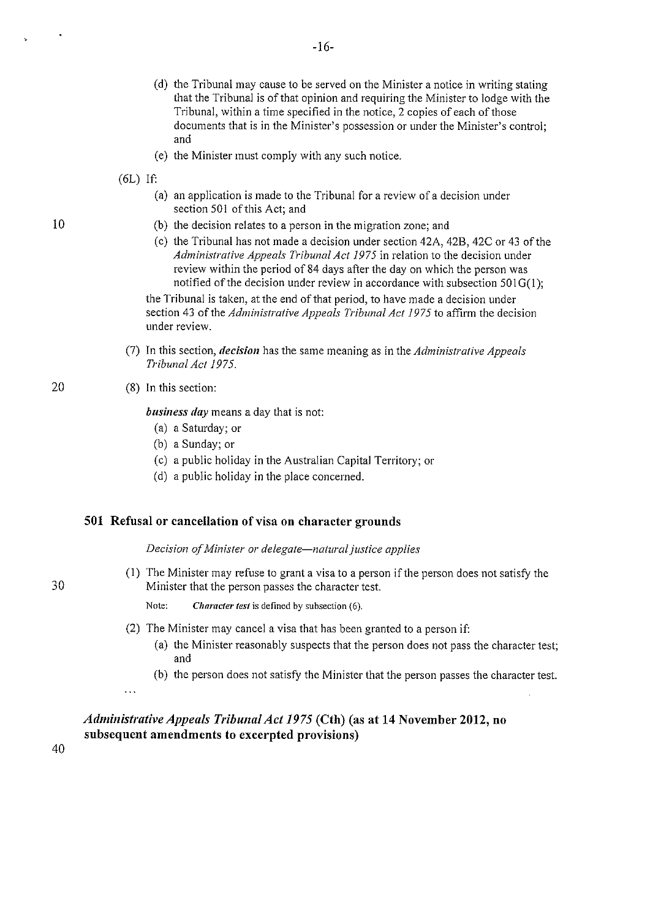- (d) the Tribunal may cause to be served on the Minister a notice in writing stating that the Tribunal is of that opinion and requiring the Minister to lodge with the Tribunal, within a time specified in the notice, 2 copies of each of those documents that is in the Minister's possession or under the Minister's control; and
- (e) the Minister must comply with any such notice.
- $(6L)$  If:
	- (a) an application is made to the Tribunal for a review of a decision under section 501 of this Act; and
	- (b) the decision relates to a person in the migration zone; and
	- (c) the Tribunal has not made a decision under section 42A, 42B, 42C or 43 of the *Administrative Appeals Tribunal Act 1975* in relation to the decision under review within the period of 84 days after the day on which the person was notified of the decision under review in accordance with subsection  $501G(1)$ ;

the Tribunal is taken, at the end of that period, to have made a decision under section 43 of the *Administrative Appeals Tribunal Act 1975* to affirm the decision under review.

- (7) In this section, *decision* has the same meaning as in the *Administrative Appeals Tribunal Ac/1975.*
- (8) In this section:

*business day* means a day that is not:

- (a) a Saturday; or
- (b) a Sunday; or
- (c) a public holiday in the Australian Capital Territory; or
- (d) a public holiday in the place concerned.

#### **501 Refusal or cancellation of visa on character grounds**

*Decision of Minister or delegate-natural justice applies* 

(I) The Minister may refuse to grant a visa to a person if the person does not satisfy the Minister that the person passes the character test.

**Note:** *Character test* **is defined by subsection (6).** 

- (2) The Minister may cancel a visa that has been granted to a person if:
	- (a) the Minister reasonably suspects that the person does not pass the character test; and
	- (b) the person does not satisfy the Minister that the person passes the character test.

 $\ldots$ 

## *Administrative Appeals Tribunal Act 1975* **(Cth) (as at 14 November 2012, no subsequent amendments to excerpted provisions)**

40

30

20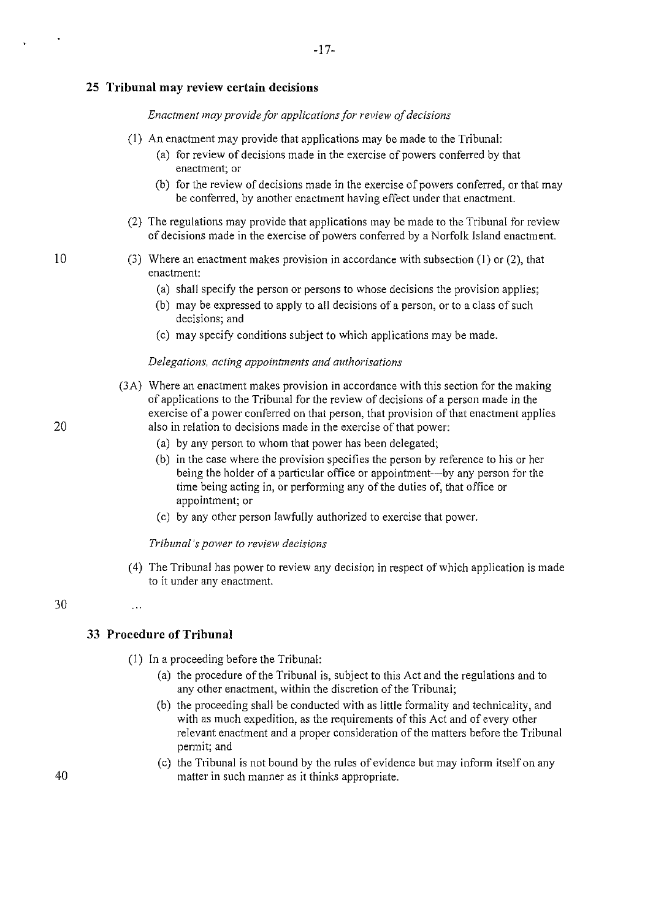#### **25 Tribunal may review certain decisions**

#### *Enactment may provide for applications for review of decisions*

(I) An enactment may provide that applications may be made to the Tribunal:

-17-

- (a) for review of decisions made in the exercise of powers conferred by that **enactment; or**
- (b) for the review of decisions made in the exercise of powers conferred, or that may be conferred, by another enactment having effect under that enactment.
- (2) The regulations may provide that applications may be made to the Tribunal for review of decisions made in the exercise of powers conferred by a Norfolk Island enactment.
- (3) Where an enactment makes provision in accordance with subsection (I) or (2), that enactment:
	- (a) shall specify the person or persons to whose decisions the provision applies;
	- (b) may be expressed to apply to all decisions of a person, or to a class of such decisions; and
	- (c) may specify conditions subject to which applications may be made.

#### *Delegations, acting appointments and authorisations*

- (3A) Where an enactment makes provision in accordance with this section for the making of applications to the Tribunal for the review of decisions of a person made in the exercise of a power conferred on that person, that provision of that enactment applies also in relation to decisions made in the exercise of that power:
	- (a) by any person to whom that power has been delegated;
	- (b) in the case where the provision specifies the person by reference to his or her being the holder of a particular office or appointment---by any person for the time being acting in, or performing any of the duties of, that office or appointment; or
	- (c) by any other person lawfully authorized to exercise that power.

#### *Tribunal's power to review decisions*

(4) The Tribunal has power to review any decision in respect of which application is made to it under any enactment.

## 30

## **33 Procedure of Tribunal**

 $\ddotsc$ 

- (I) In a proceeding before the Tribunal:
	- (a) the procedure of the Tribunal is, subject to this Act and the regulations and to any other enactment, within the discretion of the Tribunal;
	- (b) the proceeding shall be conducted with as little formality and technicality, and with as much expedition, as the requirements of this Act and of every other relevant enactment and a proper consideration of the matters before the Tribunal permit; and
	- (c) the Tribunal is not bound by the rules of evidence but may inform itself on any matter in such manner as it thinks appropriate.

20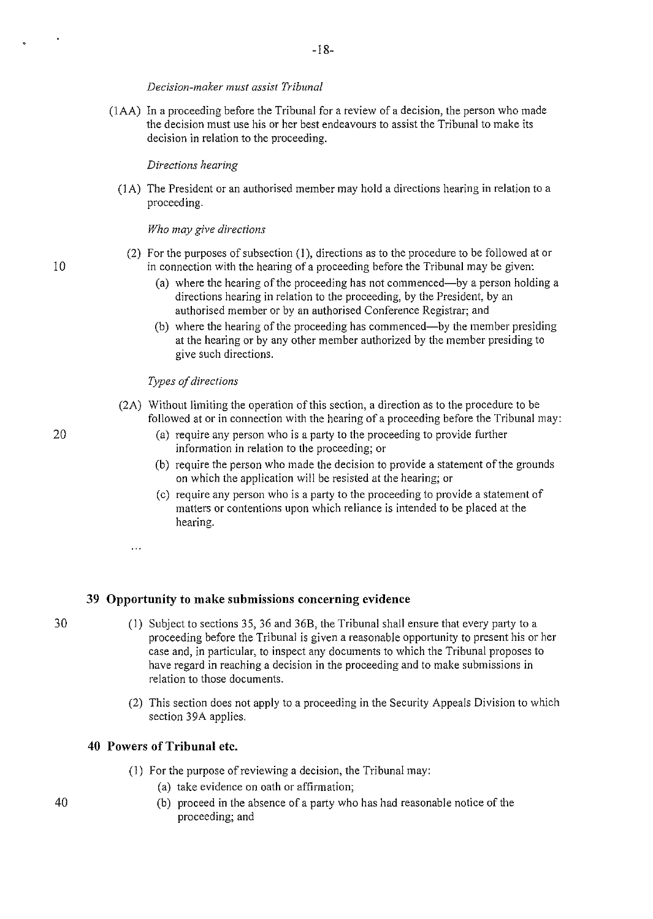#### *Decision-maker must assist Tribunal*

(IAA) In a proceeding before the Tribunal for a review of a decision, the person who made the decision must use his or her best endeavours to assist the Tribunal to make its decision in relation to the proceeding.

#### *Directions hearing*

(I A) The President or an authorised member may hold a directions hearing in relation to a proceeding.

#### *Who may give directions*

- (2) For the purposes of subsection (I), directions as to the procedure to be followed at or in connection with the hearing of a proceeding before the Tribunal may be given:
	- (a) where the hearing of the proceeding has not commenced—by a person holding a directions hearing in relation to the proceeding, by the President, by an authorised member or by an authorised Conference Registrar; and
	- (b) where the hearing of the proceeding has commenced—by the member presiding at the hearing or by any other member authorized by the member presiding to give such directions.

#### *Types of directions*

- (2A) Without limiting the operation of this section, a direction as to the procedure to be followed at or in connection with the hearing of a proceeding before the Tribunal may:
	- (a) require any person who is a party to the proceeding to provide further information in relation to the proceeding; or
	- (b) require the person who made the decision to provide a statement of the grounds on which the application will be resisted at the hearing; or
	- (c) require any person who is a party to the proceeding to provide a statement of matters or contentions upon which reliance is intended to be placed at the hearing.

 $\ddotsc$ 

#### **39 Opportunity to make submissions concerning evidence**

- (1) Subject to sections 35, 36 and 36B, the Tribunal shall ensure that every pmiy to a proceeding before the Tribunal is given a reasonable opportunity to present his or her case and, in particular, to inspect any documents to which the Tribunal proposes to have regard in reaching a decision in the proceeding and to make submissions in relation to those documents.
- (2) This section does not apply to a proceeding in the Security Appeals Division to which section 39A applies.

### **40 Powers of Tribunal etc.**

- (1) For the purpose of reviewing a decision, the Tribunal may:
	- (a) take evidence on oath or affirmation;
	- (b) proceed in the absence of a party who has had reasonable notice of the proceeding; and

30

10

 $\mathbf{r}$ 

20